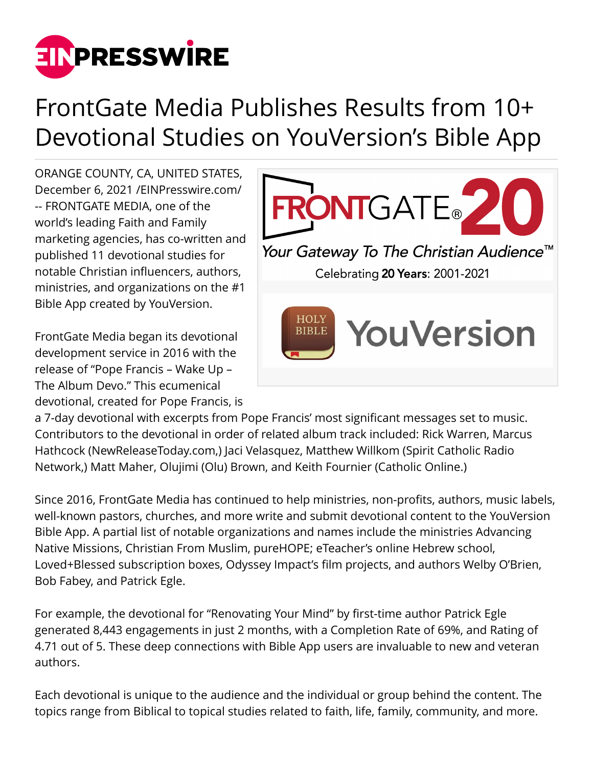

## FrontGate Media Publishes Results from 10+ Devotional Studies on YouVersion's Bible App

ORANGE COUNTY, CA, UNITED STATES, December 6, 2021 /[EINPresswire.com](http://www.einpresswire.com)/ -- FRONTGATE MEDIA, one of the world's leading Faith and Family marketing agencies, has co-written and published 11 devotional studies for notable Christian influencers, authors, ministries, and organizations on the #1 Bible App created by YouVersion.

FrontGate Media began its devotional development service in 2016 with the release of "Pope Francis – Wake Up – The Album Devo." This ecumenical devotional, created for Pope Francis, is



a 7-day devotional with excerpts from Pope Francis' most significant messages set to music. Contributors to the devotional in order of related album track included: Rick Warren, Marcus Hathcock (NewReleaseToday.com,) Jaci Velasquez, Matthew Willkom (Spirit Catholic Radio Network,) Matt Maher, Olujimi (Olu) Brown, and Keith Fournier (Catholic Online.)

Since 2016, FrontGate Media has continued to help ministries, non-profits, authors, music labels, well-known pastors, churches, and more write and submit devotional content to the YouVersion Bible App. A partial list of notable organizations and names include the ministries Advancing Native Missions, Christian From Muslim, pureHOPE; eTeacher's online Hebrew school, Loved+Blessed subscription boxes, Odyssey Impact's film projects, and authors Welby O'Brien, Bob Fabey, and Patrick Egle.

For example, the devotional for "Renovating Your Mind" by first-time author Patrick Egle generated 8,443 engagements in just 2 months, with a Completion Rate of 69%, and Rating of 4.71 out of 5. These deep connections with Bible App users are invaluable to new and veteran authors.

Each devotional is unique to the audience and the individual or group behind the content. The topics range from Biblical to topical studies related to faith, life, family, community, and more.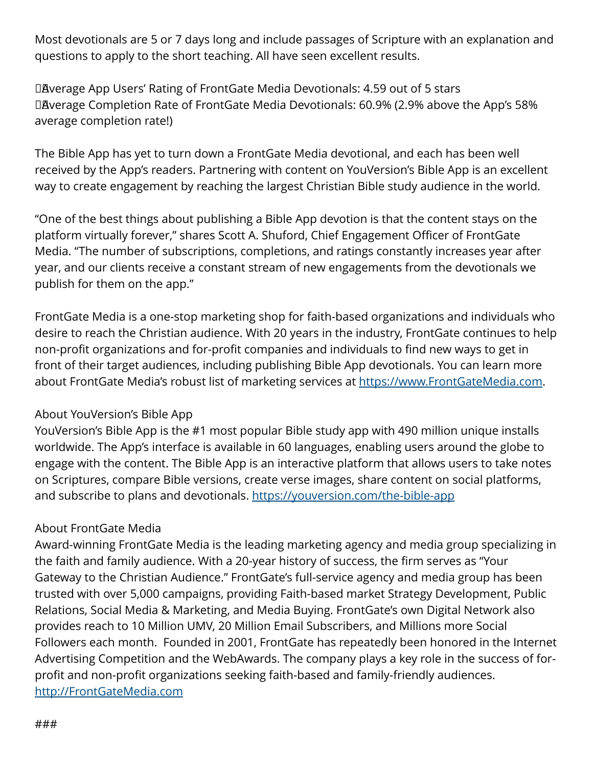Most devotionals are 5 or 7 days long and include passages of Scripture with an explanation and questions to apply to the short teaching. All have seen excellent results.

DAverage App Users' Rating of FrontGate Media Devotionals: 4.59 out of 5 stars DAverage Completion Rate of FrontGate Media Devotionals: 60.9% (2.9% above the App's 58% average completion rate!)

The Bible App has yet to turn down a FrontGate Media devotional, and each has been well received by the App's readers. Partnering with content on YouVersion's Bible App is an excellent way to create engagement by reaching the largest Christian Bible study audience in the world.

"One of the best things about publishing a Bible App devotion is that the content stays on the platform virtually forever," shares Scott A. Shuford, Chief Engagement Officer of FrontGate Media. "The number of subscriptions, completions, and ratings constantly increases year after year, and our clients receive a constant stream of new engagements from the devotionals we publish for them on the app."

FrontGate Media is a one-stop marketing shop for faith-based organizations and individuals who desire to reach the Christian audience. With 20 years in the industry, FrontGate continues to help non-profit organizations and for-profit companies and individuals to find new ways to get in front of their target audiences, including publishing Bible App devotionals. You can learn more about FrontGate Media's robust list of marketing services at <https://www.FrontGateMedia.com>.

## About YouVersion's Bible App

YouVersion's Bible App is the #1 most popular Bible study app with 490 million unique installs worldwide. The App's interface is available in 60 languages, enabling users around the globe to engage with the content. The Bible App is an interactive platform that allows users to take notes on Scriptures, compare Bible versions, create verse images, share content on social platforms, and subscribe to plans and devotionals.<https://youversion.com/the-bible-app>

## About FrontGate Media

Award-winning FrontGate Media is the leading marketing agency and media group specializing in the faith and family audience. With a 20-year history of success, the firm serves as "Your Gateway to the Christian Audience." FrontGate's full-service agency and media group has been trusted with over 5,000 campaigns, providing Faith-based market Strategy Development, Public Relations, Social Media & Marketing, and Media Buying. FrontGate's own Digital Network also provides reach to 10 Million UMV, 20 Million Email Subscribers, and Millions more Social Followers each month. Founded in 2001, FrontGate has repeatedly been honored in the Internet Advertising Competition and the WebAwards. The company plays a key role in the success of forprofit and non-profit organizations seeking faith-based and family-friendly audiences. <http://FrontGateMedia.com>